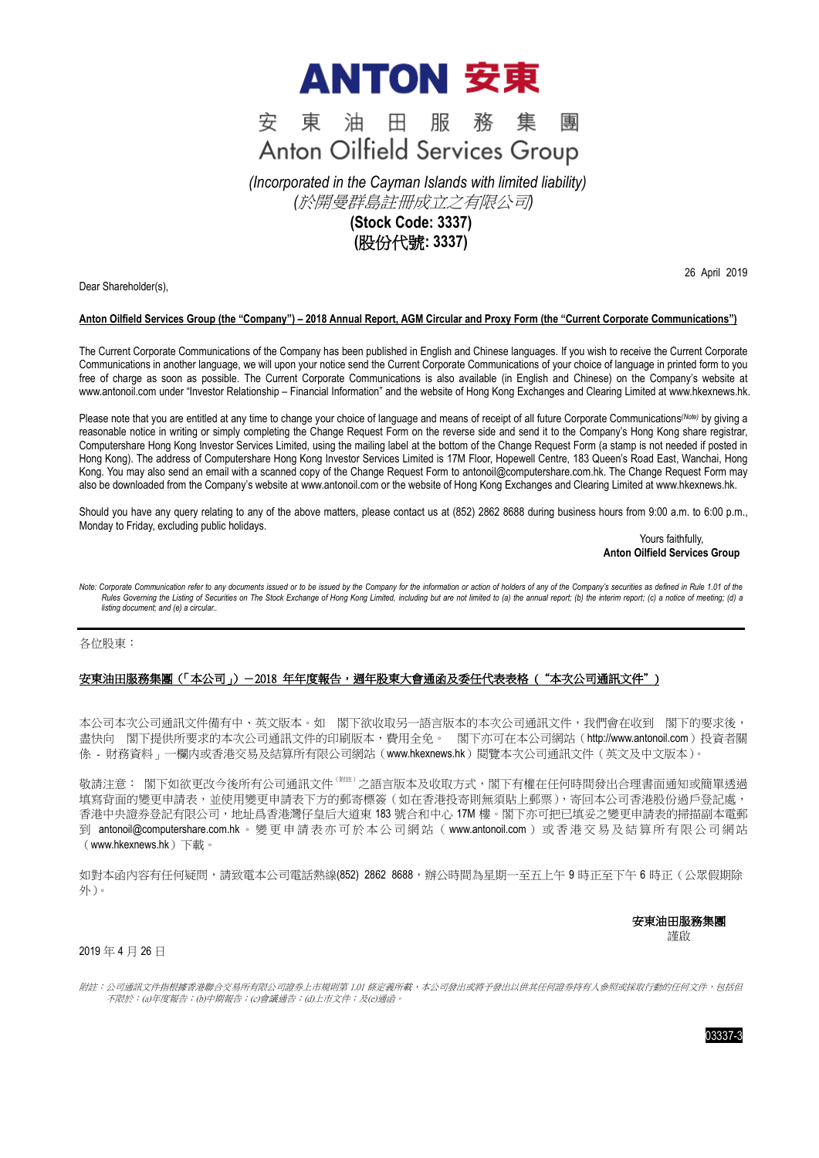

#### 東油田服務集 安 團 **Anton Oilfield Services Group**

*(Incorporated in the Cayman Islands with limited liability) (*於開曼群島註冊成立之有限公司*)*

# **(Stock Code: 3337) (**股份代號**: 3337)**

Dear Shareholder(s),

26 April 2019

## **Anton Oilfield Services Group (the "Company") – 2018 Annual Report, AGM Circular and Proxy Form (the "Current Corporate Communications")**

The Current Corporate Communications of the Company has been published in English and Chinese languages. If you wish to receive the Current Corporate Communications in another language, we will upon your notice send the Current Corporate Communications of your choice of language in printed form to you free of charge as soon as possible. The Current Corporate Communications is also available (in English and Chinese) on the Company's website at [www.antonoil.com](http://www.antonoil.com/) under "Investor Relationship – Financial Information" and the website of Hong Kong Exchanges and Clearing Limited a[t www.hkexnews.hk.](http://www.hkexnews.hk/)

Please note that you are entitled at any time to change your choice of language and means of receipt of all future Corporate Communications *(Note)* by giving a reasonable notice in writing or simply completing the Change Request Form on the reverse side and send it to the Company's Hong Kong share registrar, Computershare Hong Kong Investor Services Limited, using the mailing label at the bottom of the Change Request Form (a stamp is not needed if posted in Hong Kong). The address of Computershare Hong Kong Investor Services Limited is 17M Floor, Hopewell Centre, 183 Queen's Road East, Wanchai, Hong Kong. You may also send an email with a scanned copy of the Change Request Form to antonoil@computershare.com.hk. The Change Request Form may also be downloaded from the Company's website at [www.antonoil.com](http://www.antonoil.com/) or the website of Hong Kong Exchanges and Clearing Limited a[t www.hkexnews.hk.](http://www.hkexnews.hk/)

Should you have any query relating to any of the above matters, please contact us at (852) 2862 8688 during business hours from 9:00 a.m. to 6:00 p.m., Monday to Friday, excluding public holidays.

> Yours faithfully, **Anton Oilfield Services Group**

Note: Corporate Communication refer to any documents issued or to be issued by the Company for the information or action of holders of any of the Company's securities as defined in Rule 1.01 of the Rules Governing the Listing of Securities on The Stock Exchange of Hong Kong Limited, including but are not limited to (a) the annual report; (b) the interim report; (c) a notice of meeting; (d) a *listing document; and (e) a circular..*

各位股東:

## 安東油田服務集團 (「本公司」) - 2018 年年度報告,週年股東大會通函及委任代表表格 ("本次公司通訊文件")

本公司本次公司通訊文件備有中、英文版本。如 閣下欲收取另一語言版本的本次公司通訊文件,我們會在收到 閣下的要求後, 盡快向 閣下提供所要求的本次公司通訊文件的印刷版本,費用全免。 閣下亦可在本公司網站 ([http://www.antonoil.com](http://www.antonoil.com/)) 投資者關 係 - 財務資料 - 一欄内或香港交易及結算所有限公司網站 ([www.hkexnews.hk](http://www.hkexnews.hk/))閱覽本次公司通訊文件 (英文及中文版本)。

敬請注意: 閣下如欲更改今後所有公司通訊文件 <sup>(附註)</sup> 之語言版本及收取方式,閣下有權在任何時間發出合理書面通知或簡單透過 填寫背面的變更申請表,並使用變更申請表下方的郵寄標簽(如在香港投寄則無須貼上郵票),寄回本公司香港股份過戶登記處, 香港中央證券登記有限公司,地址爲香港灣仔皇后大道東 183 號合和中心 17M 樓。閣下亦可把已填妥之變更申請表的掃描副本電郵 到 antonoil@computershare.com.hk 。 變 更 申 請 表 亦 可 於 本 公 司 網 站 ( [www.antonoil.com](http://www.antonoil.com/) ) 或 香 港 交 易 及 結 算 所 有 限 公 司 網 站 ([www.hkexnews.hk](http://www.hkexnews.hk/))下載。

如對本函內容有任何疑問,請致電本公司電話熱線(852) 2862 8688,辦公時間為星期一至五上午 9 時正至下午 6 時正(公眾假期除 外)。

安東油田服務集團

謹啟

### 2019 年 4 月 26 日

附註:公司通訊文件指根據香港聯合交易所有限公司證券上市規則第 1.01 條定義所載,本公司發出或將予發出以供其任何證券持有人參照或採取行動的任何文件,包括但 不限於:(a)年度報告;(b)中期報告;(c)會議通告;(d)上市文件;及(e)通函。

03337-3